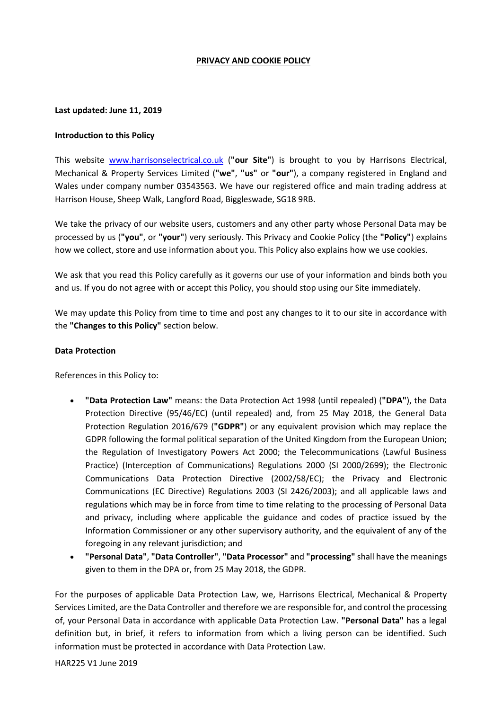#### **PRIVACY AND COOKIE POLICY**

#### **Last updated: June 11, 2019**

### **Introduction to this Policy**

This website [www.harrisonselectrical.co.uk](http://www.harrisonselectrical.co.uk/) (**"our Site"**) is brought to you by Harrisons Electrical, Mechanical & Property Services Limited (**"we"**, **"us"** or **"our"**), a company registered in England and Wales under company number 03543563. We have our registered office and main trading address at Harrison House, Sheep Walk, Langford Road, Biggleswade, SG18 9RB.

We take the privacy of our website users, customers and any other party whose Personal Data may be processed by us (**"you"**, or **"your"**) very seriously. This Privacy and Cookie Policy (the **"Policy"**) explains how we collect, store and use information about you. This Policy also explains how we use cookies.

We ask that you read this Policy carefully as it governs our use of your information and binds both you and us. If you do not agree with or accept this Policy, you should stop using our Site immediately.

We may update this Policy from time to time and post any changes to it to our site in accordance with the **"Changes to this Policy"** section below.

#### **Data Protection**

References in this Policy to:

- **"Data Protection Law"** means: the Data Protection Act 1998 (until repealed) (**"DPA"**), the Data Protection Directive (95/46/EC) (until repealed) and, from 25 May 2018, the General Data Protection Regulation 2016/679 (**"GDPR"**) or any equivalent provision which may replace the GDPR following the formal political separation of the United Kingdom from the European Union; the Regulation of Investigatory Powers Act 2000; the Telecommunications (Lawful Business Practice) (Interception of Communications) Regulations 2000 (SI 2000/2699); the Electronic Communications Data Protection Directive (2002/58/EC); the Privacy and Electronic Communications (EC Directive) Regulations 2003 (SI 2426/2003); and all applicable laws and regulations which may be in force from time to time relating to the processing of Personal Data and privacy, including where applicable the guidance and codes of practice issued by the Information Commissioner or any other supervisory authority, and the equivalent of any of the foregoing in any relevant jurisdiction; and
- **"Personal Data"**, **"Data Controller"**, **"Data Processor"** and **"processing"** shall have the meanings given to them in the DPA or, from 25 May 2018, the GDPR.

For the purposes of applicable Data Protection Law, we, Harrisons Electrical, Mechanical & Property Services Limited, are the Data Controller and therefore we are responsible for, and control the processing of, your Personal Data in accordance with applicable Data Protection Law. **"Personal Data"** has a legal definition but, in brief, it refers to information from which a living person can be identified. Such information must be protected in accordance with Data Protection Law.

HAR225 V1 June 2019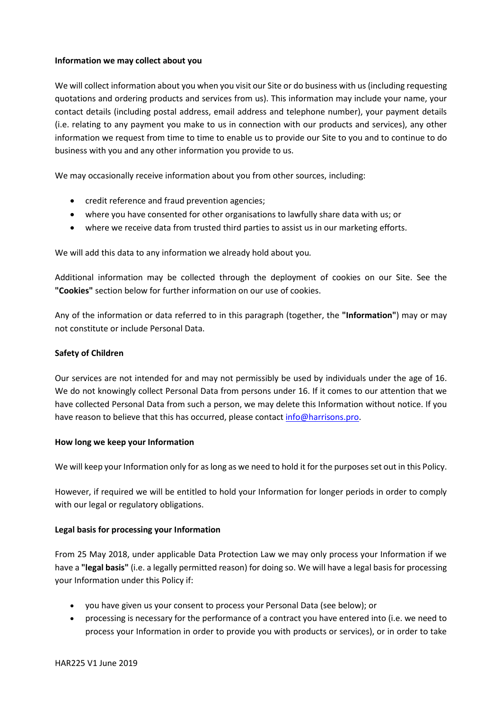## **Information we may collect about you**

We will collect information about you when you visit our Site or do business with us (including requesting quotations and ordering products and services from us). This information may include your name, your contact details (including postal address, email address and telephone number), your payment details (i.e. relating to any payment you make to us in connection with our products and services), any other information we request from time to time to enable us to provide our Site to you and to continue to do business with you and any other information you provide to us.

We may occasionally receive information about you from other sources, including:

- credit reference and fraud prevention agencies;
- where you have consented for other organisations to lawfully share data with us; or
- where we receive data from trusted third parties to assist us in our marketing efforts.

We will add this data to any information we already hold about you*.*

Additional information may be collected through the deployment of cookies on our Site. See the **"Cookies"** section below for further information on our use of cookies.

Any of the information or data referred to in this paragraph (together, the **"Information"**) may or may not constitute or include Personal Data.

# **Safety of Children**

Our services are not intended for and may not permissibly be used by individuals under the age of 16. We do not knowingly collect Personal Data from persons under 16. If it comes to our attention that we have collected Personal Data from such a person, we may delete this Information without notice. If you have reason to believe that this has occurred, please contact [info@harrisons.pro.](mailto:info@harrisons.pro)

### **How long we keep your Information**

We will keep your Information only for as long as we need to hold it for the purposes set out in this Policy.

However, if required we will be entitled to hold your Information for longer periods in order to comply with our legal or regulatory obligations.

# **Legal basis for processing your Information**

From 25 May 2018, under applicable Data Protection Law we may only process your Information if we have a **"legal basis"** (i.e. a legally permitted reason) for doing so. We will have a legal basis for processing your Information under this Policy if:

- you have given us your consent to process your Personal Data (see below); or
- processing is necessary for the performance of a contract you have entered into (i.e. we need to process your Information in order to provide you with products or services), or in order to take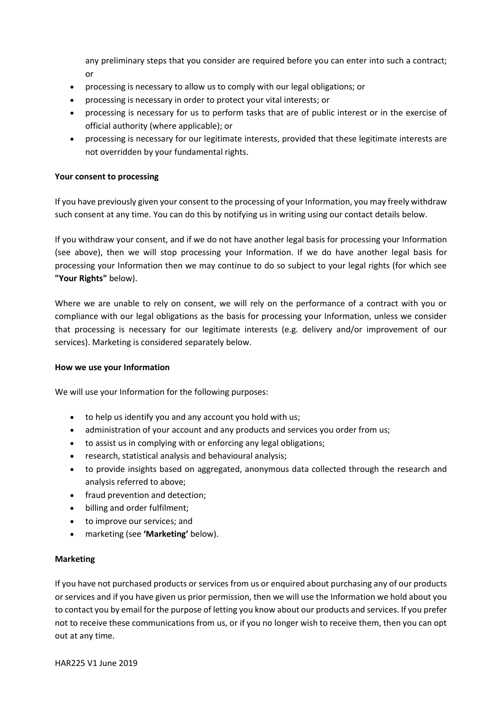any preliminary steps that you consider are required before you can enter into such a contract; or

- processing is necessary to allow us to comply with our legal obligations; or
- processing is necessary in order to protect your vital interests; or
- processing is necessary for us to perform tasks that are of public interest or in the exercise of official authority (where applicable); or
- processing is necessary for our legitimate interests, provided that these legitimate interests are not overridden by your fundamental rights.

## **Your consent to processing**

If you have previously given your consent to the processing of your Information, you may freely withdraw such consent at any time. You can do this by notifying us in writing using our contact details below.

If you withdraw your consent, and if we do not have another legal basis for processing your Information (see above), then we will stop processing your Information. If we do have another legal basis for processing your Information then we may continue to do so subject to your legal rights (for which see **"Your Rights"** below).

Where we are unable to rely on consent, we will rely on the performance of a contract with you or compliance with our legal obligations as the basis for processing your Information, unless we consider that processing is necessary for our legitimate interests (e.g. delivery and/or improvement of our services). Marketing is considered separately below.

### **How we use your Information**

We will use your Information for the following purposes:

- to help us identify you and any account you hold with us;
- administration of your account and any products and services you order from us;
- to assist us in complying with or enforcing any legal obligations;
- research, statistical analysis and behavioural analysis;
- to provide insights based on aggregated, anonymous data collected through the research and analysis referred to above;
- fraud prevention and detection;
- billing and order fulfilment;
- to improve our services; and
- marketing (see **'Marketing'** below).

### **Marketing**

If you have not purchased products or services from us or enquired about purchasing any of our products or services and if you have given us prior permission, then we will use the Information we hold about you to contact you by email for the purpose of letting you know about our products and services. If you prefer not to receive these communications from us, or if you no longer wish to receive them, then you can opt out at any time.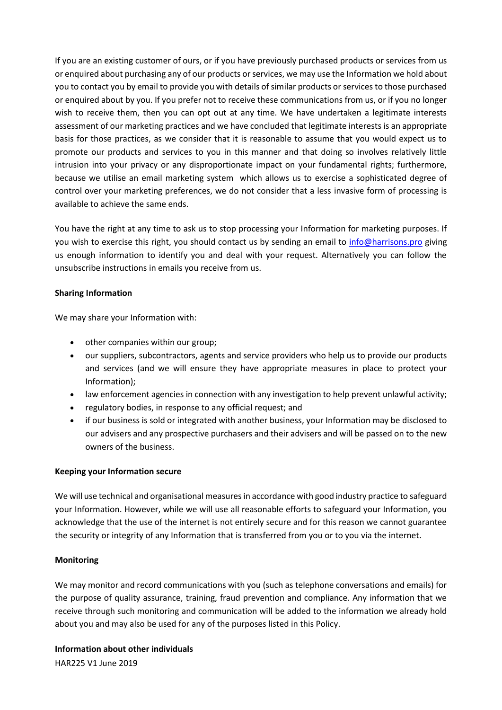If you are an existing customer of ours, or if you have previously purchased products or services from us or enquired about purchasing any of our products or services, we may use the Information we hold about you to contact you by email to provide you with details of similar products or services to those purchased or enquired about by you. If you prefer not to receive these communications from us, or if you no longer wish to receive them, then you can opt out at any time. We have undertaken a legitimate interests assessment of our marketing practices and we have concluded that legitimate interests is an appropriate basis for those practices, as we consider that it is reasonable to assume that you would expect us to promote our products and services to you in this manner and that doing so involves relatively little intrusion into your privacy or any disproportionate impact on your fundamental rights; furthermore, because we utilise an email marketing system which allows us to exercise a sophisticated degree of control over your marketing preferences, we do not consider that a less invasive form of processing is available to achieve the same ends.

You have the right at any time to ask us to stop processing your Information for marketing purposes. If you wish to exercise this right, you should contact us by sending an email to [info@harrisons.pro](mailto:info@harrisons.pro) giving us enough information to identify you and deal with your request. Alternatively you can follow the unsubscribe instructions in emails you receive from us.

# **Sharing Information**

We may share your Information with:

- other companies within our group;
- our suppliers, subcontractors, agents and service providers who help us to provide our products and services (and we will ensure they have appropriate measures in place to protect your Information);
- law enforcement agencies in connection with any investigation to help prevent unlawful activity;
- regulatory bodies, in response to any official request; and
- if our business is sold or integrated with another business, your Information may be disclosed to our advisers and any prospective purchasers and their advisers and will be passed on to the new owners of the business.

# **Keeping your Information secure**

We will use technical and organisational measures in accordance with good industry practice to safeguard your Information. However, while we will use all reasonable efforts to safeguard your Information, you acknowledge that the use of the internet is not entirely secure and for this reason we cannot guarantee the security or integrity of any Information that is transferred from you or to you via the internet.

# **Monitoring**

We may monitor and record communications with you (such as telephone conversations and emails) for the purpose of quality assurance, training, fraud prevention and compliance. Any information that we receive through such monitoring and communication will be added to the information we already hold about you and may also be used for any of the purposes listed in this Policy.

**Information about other individuals**

HAR225 V1 June 2019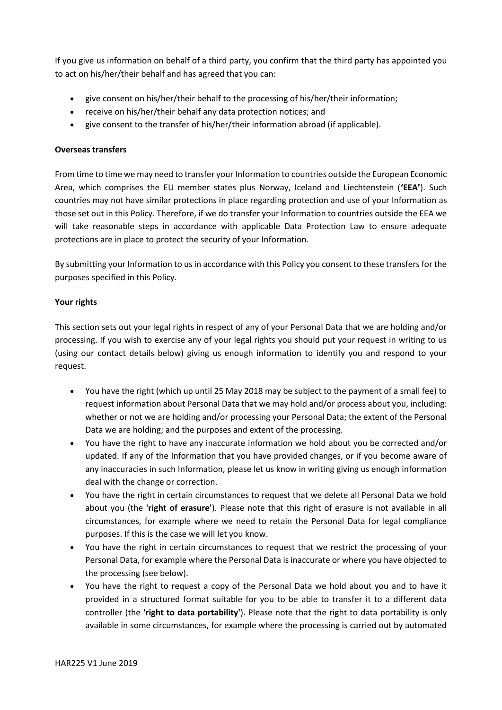If you give us information on behalf of a third party, you confirm that the third party has appointed you to act on his/her/their behalf and has agreed that you can:

- give consent on his/her/their behalf to the processing of his/her/their information;
- receive on his/her/their behalf any data protection notices; and
- give consent to the transfer of his/her/their information abroad (if applicable).

## **Overseas transfers**

From time to time we may need to transfer your Information to countries outside the European Economic Area, which comprises the EU member states plus Norway, Iceland and Liechtenstein (**'EEA'**). Such countries may not have similar protections in place regarding protection and use of your Information as those set out in this Policy. Therefore, if we do transfer your Information to countries outside the EEA we will take reasonable steps in accordance with applicable Data Protection Law to ensure adequate protections are in place to protect the security of your Information.

By submitting your Information to us in accordance with this Policy you consent to these transfers for the purposes specified in this Policy.

# **Your rights**

This section sets out your legal rights in respect of any of your Personal Data that we are holding and/or processing. If you wish to exercise any of your legal rights you should put your request in writing to us (using our contact details below) giving us enough information to identify you and respond to your request.

- You have the right (which up until 25 May 2018 may be subject to the payment of a small fee) to request information about Personal Data that we may hold and/or process about you, including: whether or not we are holding and/or processing your Personal Data; the extent of the Personal Data we are holding; and the purposes and extent of the processing.
- You have the right to have any inaccurate information we hold about you be corrected and/or updated. If any of the Information that you have provided changes, or if you become aware of any inaccuracies in such Information, please let us know in writing giving us enough information deal with the change or correction.
- You have the right in certain circumstances to request that we delete all Personal Data we hold about you (the **'right of erasure'**). Please note that this right of erasure is not available in all circumstances, for example where we need to retain the Personal Data for legal compliance purposes. If this is the case we will let you know.
- You have the right in certain circumstances to request that we restrict the processing of your Personal Data, for example where the Personal Data is inaccurate or where you have objected to the processing (see below).
- You have the right to request a copy of the Personal Data we hold about you and to have it provided in a structured format suitable for you to be able to transfer it to a different data controller (the **'right to data portability'**). Please note that the right to data portability is only available in some circumstances, for example where the processing is carried out by automated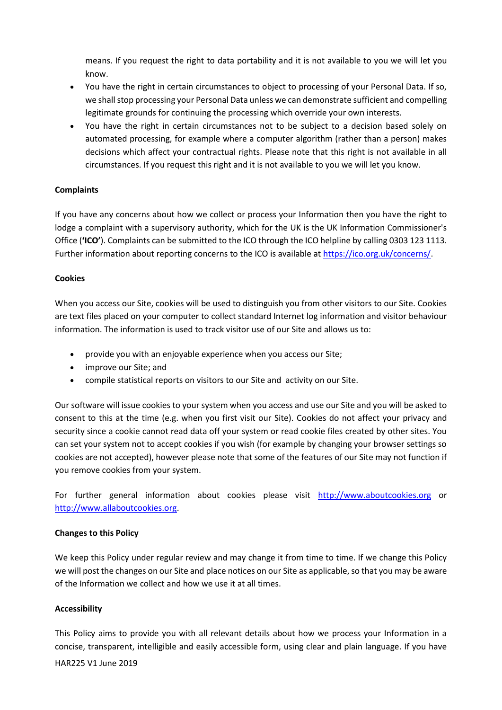means. If you request the right to data portability and it is not available to you we will let you know.

- You have the right in certain circumstances to object to processing of your Personal Data. If so, we shall stop processing your Personal Data unless we can demonstrate sufficient and compelling legitimate grounds for continuing the processing which override your own interests.
- You have the right in certain circumstances not to be subject to a decision based solely on automated processing, for example where a computer algorithm (rather than a person) makes decisions which affect your contractual rights. Please note that this right is not available in all circumstances. If you request this right and it is not available to you we will let you know.

# **Complaints**

If you have any concerns about how we collect or process your Information then you have the right to lodge a complaint with a supervisory authority, which for the UK is the UK Information Commissioner's Office (**'ICO'**). Complaints can be submitted to the ICO through the ICO helpline by calling 0303 123 1113. Further information about reporting concerns to the ICO is available at [https://ico.org.uk/concerns/.](https://ico.org.uk/concerns/)

# **Cookies**

When you access our Site, cookies will be used to distinguish you from other visitors to our Site. Cookies are text files placed on your computer to collect standard Internet log information and visitor behaviour information. The information is used to track visitor use of our Site and allows us to:

- provide you with an enjoyable experience when you access our Site;
- improve our Site; and
- compile statistical reports on visitors to our Site and activity on our Site.

Our software will issue cookies to your system when you access and use our Site and you will be asked to consent to this at the time (e.g. when you first visit our Site). Cookies do not affect your privacy and security since a cookie cannot read data off your system or read cookie files created by other sites. You can set your system not to accept cookies if you wish (for example by changing your browser settings so cookies are not accepted), however please note that some of the features of our Site may not function if you remove cookies from your system.

For further general information about cookies please visit [http://www.aboutcookies.org](http://www.aboutcookies.org/) or [http://www.allaboutcookies.org.](http://www.allaboutcookies.org/)

### **Changes to this Policy**

We keep this Policy under regular review and may change it from time to time. If we change this Policy we will post the changes on our Site and place notices on our Site as applicable, so that you may be aware of the Information we collect and how we use it at all times.

### **Accessibility**

This Policy aims to provide you with all relevant details about how we process your Information in a concise, transparent, intelligible and easily accessible form, using clear and plain language. If you have

### HAR225 V1 June 2019